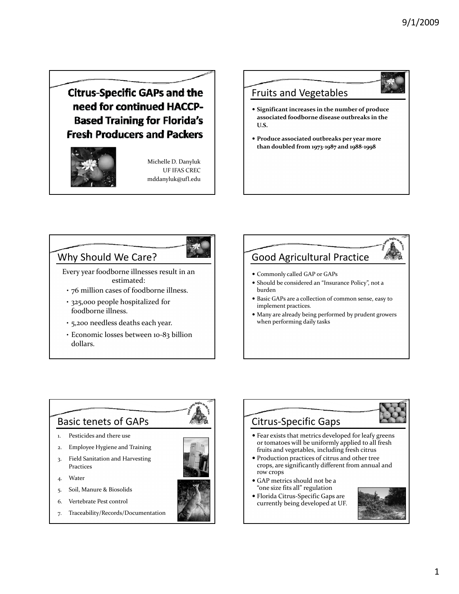**Citrus-Specific GAPs and the** need for continued HACCP-**Based Training for Florida's Fresh Producers and Packers** 



Michelle D. Danyluk UF IFAS CREC mddanyluk@ufl.edu

#### Fruits and Vegetables

- **Significant increases in the number of produce associated foodborne disease outbreaks in the U.S.**
- **Produce associated outbreaks per year more than doubled from 1973‐1987 and 1988‐1998**

#### Why Should We Care?

Every year foodborne illnesses result in an estimated:

- 76 million cases of foodborne illness.
- 325,000 people hospitalized for foodborne illness.
- 5,200 needless deaths each year.
- Economic losses between 10‐83 billion dollars.

### Good Agricultural Practice Commonly called GAP or GAPs Should be considered an "Insurance Policy", not a burden • Basic GAPs are a collection of common sense, easy to implement practices. Many are already being performed by prudent growers when performing daily tasks

 Fear exists that metrics developed for leafy greens or tomatoes will be uniformly applied to all fresh fruits and vegetables, including fresh citrus

# Basic tenets of GAPs

- 1. Pesticides and there use
- 2. Employee Hygiene and Training
- 3. Field Sanitation and Harvesting Practices
- 4. Water
- 5. Soil, Manure & Biosolids
- 6. Vertebrate Pest control
- 7. Traceability/Records/Documentation







 Florida Citrus‐Specific Gaps are currently being developed at UF.

Citrus‐Specific Gaps

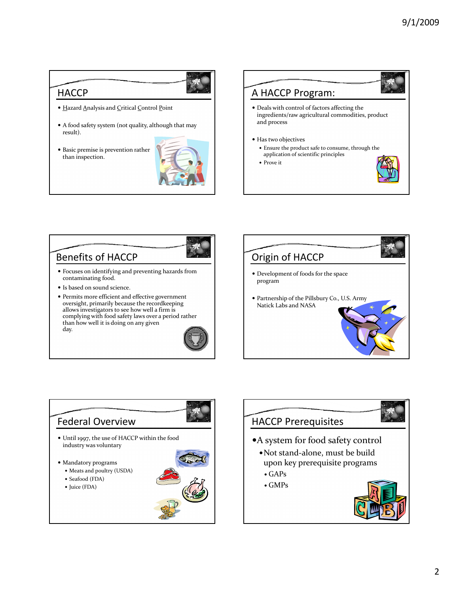

- Hazard Analysis and Critical Control Point
- A food safety system (not quality, although that may result).
- Basic premise is prevention rather than inspection.





#### Benefits of HACCP

- Focuses on identifying and preventing hazards from contaminating food.
- Is based on sound science.
- Permits more efficient and effective government oversight, primarily because the recordkeeping allows investigators to see how well a firm is complying with food safety laws over a period rather than how well it is doing on any given day.







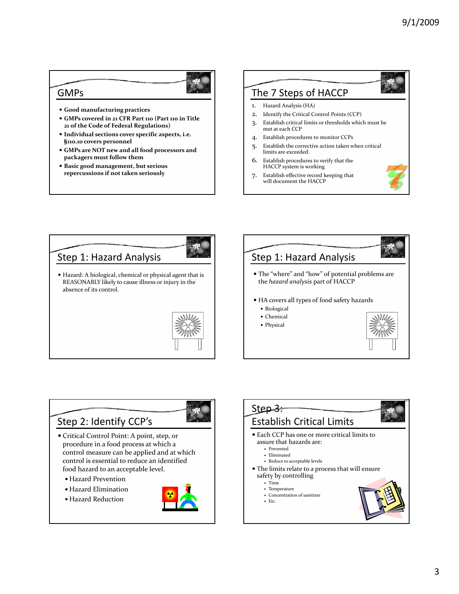#### GMPs



- **Good manufacturing practices**
- **GMPs covered in 21 CFR Part 110 (Part 110 in Title 21 of the Code of Federal Regulations)**
- **I di id l ndividualsections cover specific aspects, i.e. §110.10 covers personnel**
- **GMPs are NOT new and all food processors and packagers must follow them**
- **Basic good management, but serious repercussions if not taken seriously**

#### The 7 Steps of HACCP

- 1. Hazard Analysis (HA)
- 2. Identify the Critical Control Points (CCP)
- 3. Establish critical limits or thresholds which must be met at each CCP
- 4. Establish procedures to monitor CCPs
- 5. Establish the corrective action taken when critical limits are exceeded.
- 6. Establish procedures to verify that the HACCP system is working
- 7. Establish effective record keeping that will document the HACCP





Step 2: Identify CCP's

- Critical Control Point: A point, step, or procedure in a food process at which a control measure can be applied and at which control is essential to reduce an identified food hazard to an acceptable level.
	- Hazard Prevention
	- Hazard Elimination
	- Hazard Reduction





- 
- Concentration of sanitizer
- Etc.